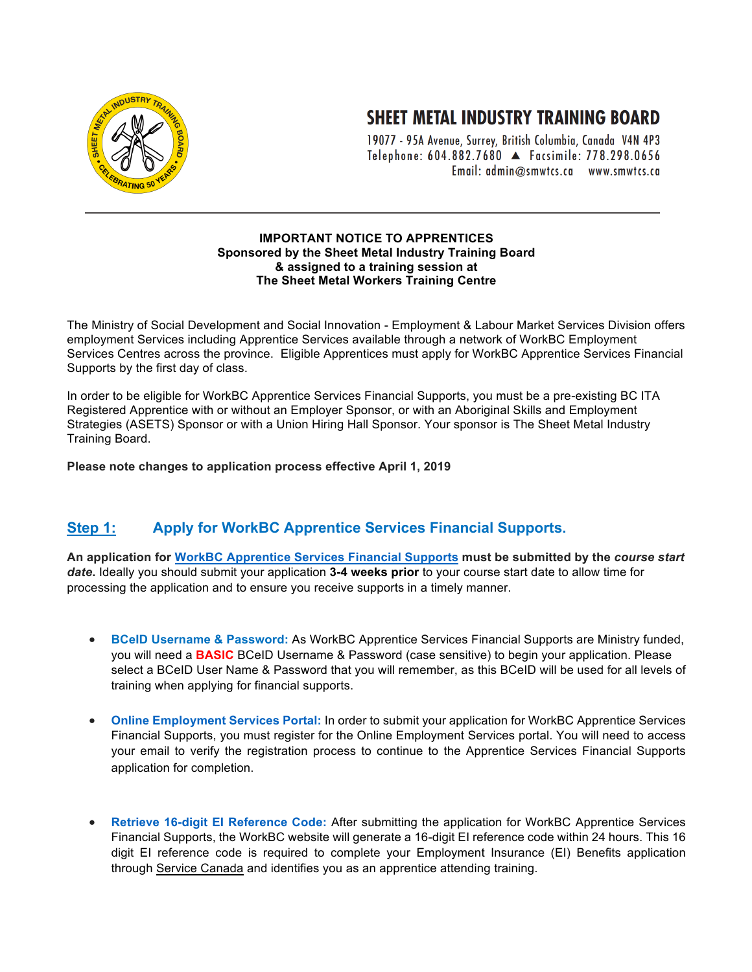

## **SHEET METAL INDUSTRY TRAINING BOARD**

19077 - 95A Avenue, Surrey, British Columbia, Canada V4N 4P3 Telephone: 604.882.7680 A Facsimile: 778.298.0656 Email: admin@smwtcs.ca www.smwtcs.ca

## **IMPORTANT NOTICE TO APPRENTICES Sponsored by the Sheet Metal Industry Training Board & assigned to a training session at The Sheet Metal Workers Training Centre**

The Ministry of Social Development and Social Innovation - Employment & Labour Market Services Division offers employment Services including Apprentice Services available through a network of WorkBC Employment Services Centres across the province. Eligible Apprentices must apply for WorkBC Apprentice Services Financial Supports by the first day of class.

In order to be eligible for WorkBC Apprentice Services Financial Supports, you must be a pre-existing BC ITA Registered Apprentice with or without an Employer Sponsor, or with an Aboriginal Skills and Employment Strategies (ASETS) Sponsor or with a Union Hiring Hall Sponsor. Your sponsor is The Sheet Metal Industry Training Board.

**Please note changes to application process effective April 1, 2019**

## **Step 1: Apply for WorkBC Apprentice Services Financial Supports.**

**An application for WorkBC Apprentice Services Financial Supports must be submitted by the** *course start date***.** Ideally you should submit your application **3-4 weeks prior** to your course start date to allow time for processing the application and to ensure you receive supports in a timely manner.

- **BCeID Username & Password:** As WorkBC Apprentice Services Financial Supports are Ministry funded, you will need a **BASIC** BCeID Username & Password (case sensitive) to begin your application. Please select a BCeID User Name & Password that you will remember, as this BCeID will be used for all levels of training when applying for financial supports.
- **Online Employment Services Portal:** In order to submit your application for WorkBC Apprentice Services Financial Supports, you must register for the Online Employment Services portal. You will need to access your email to verify the registration process to continue to the Apprentice Services Financial Supports application for completion.
- **Retrieve 16-digit EI Reference Code:** After submitting the application for WorkBC Apprentice Services Financial Supports, the WorkBC website will generate a 16-digit EI reference code within 24 hours. This 16 digit EI reference code is required to complete your Employment Insurance (EI) Benefits application through Service Canada and identifies you as an apprentice attending training.